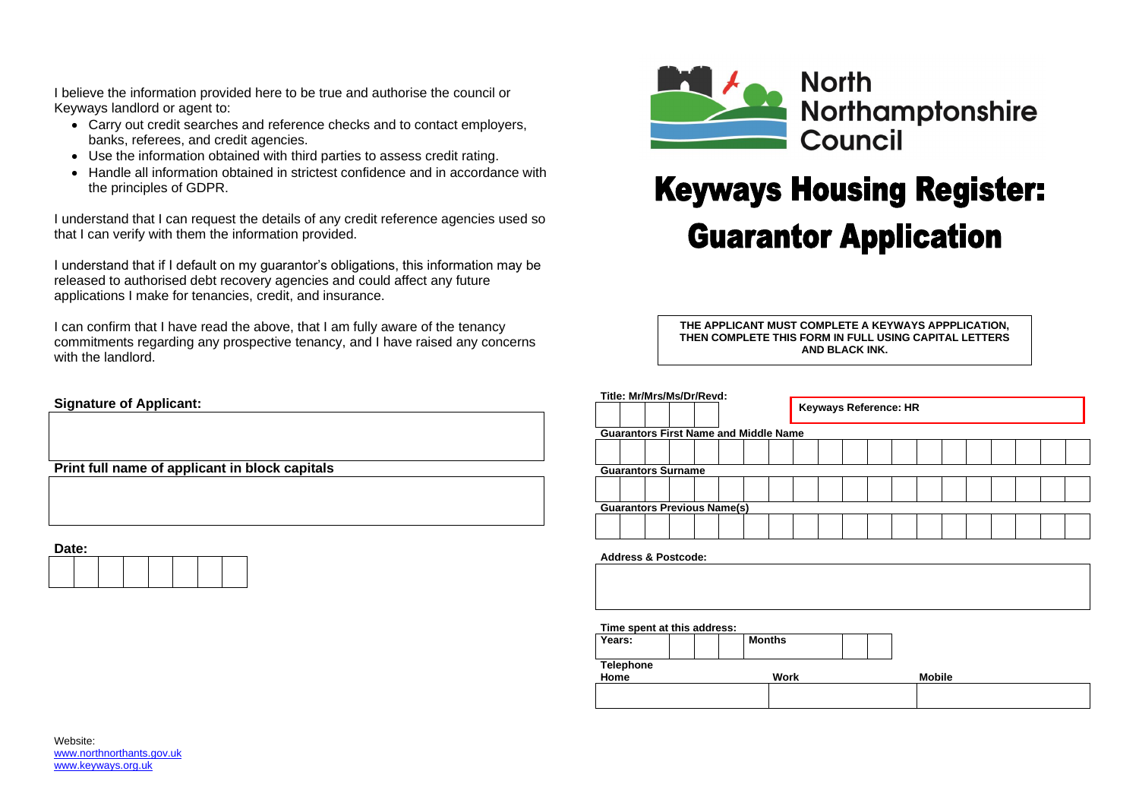

## **Keyways Housing Register: Guarantor Application**

I believe the information provided here to be true and authorise the council or Keyways landlord or agent to:

- Carry out credit searches and reference checks and to contact employers, banks, referees, and credit agencies.
- Use the information obtained with third parties to assess credit rating.
- Handle all information obtained in strictest confidence and in accordance with the principles of GDPR.

I understand that I can request the details of any credit reference agencies used so that I can verify with them the information provided.

| Time spent at this address: |  |               |  |               |  |
|-----------------------------|--|---------------|--|---------------|--|
| Years:                      |  | <b>Months</b> |  |               |  |
| <b>Telephone</b>            |  |               |  |               |  |
| Home                        |  | <b>Work</b>   |  | <b>Mobile</b> |  |
|                             |  |               |  |               |  |
|                             |  |               |  |               |  |

# Northamptonshire

I understand that if I default on my guarantor's obligations, this information may be released to authorised debt recovery agencies and could affect any future applications I make for tenancies, credit, and insurance.

I can confirm that I have read the above, that I am fully aware of the tenancy commitments regarding any prospective tenancy, and I have raised any concerns with the landlord.

### **Signature of Applicant:**

**Print full name of applicant in block capitals**

**Date:**

| ----- |  |  |  |  |  |  |  |  |  |  |
|-------|--|--|--|--|--|--|--|--|--|--|
|       |  |  |  |  |  |  |  |  |  |  |
|       |  |  |  |  |  |  |  |  |  |  |
|       |  |  |  |  |  |  |  |  |  |  |
|       |  |  |  |  |  |  |  |  |  |  |
|       |  |  |  |  |  |  |  |  |  |  |
|       |  |  |  |  |  |  |  |  |  |  |
|       |  |  |  |  |  |  |  |  |  |  |

| Title: Mr/Mrs/Ms/Dr/Revd:                    |  |  |  |                                    |  |                              |  |  |  |  |  |  |  |  |  |  |  |  |
|----------------------------------------------|--|--|--|------------------------------------|--|------------------------------|--|--|--|--|--|--|--|--|--|--|--|--|
|                                              |  |  |  |                                    |  | <b>Keyways Reference: HR</b> |  |  |  |  |  |  |  |  |  |  |  |  |
| <b>Guarantors First Name and Middle Name</b> |  |  |  |                                    |  |                              |  |  |  |  |  |  |  |  |  |  |  |  |
|                                              |  |  |  |                                    |  |                              |  |  |  |  |  |  |  |  |  |  |  |  |
| <b>Guarantors Surname</b>                    |  |  |  |                                    |  |                              |  |  |  |  |  |  |  |  |  |  |  |  |
|                                              |  |  |  |                                    |  |                              |  |  |  |  |  |  |  |  |  |  |  |  |
|                                              |  |  |  | <b>Guarantors Previous Name(s)</b> |  |                              |  |  |  |  |  |  |  |  |  |  |  |  |
|                                              |  |  |  |                                    |  |                              |  |  |  |  |  |  |  |  |  |  |  |  |
| <b>Address &amp; Postcode:</b>               |  |  |  |                                    |  |                              |  |  |  |  |  |  |  |  |  |  |  |  |

| AUUICOO Q FUSILUUC. |
|---------------------|
|                     |
|                     |
|                     |
|                     |
|                     |
|                     |
|                     |
|                     |

**THE APPLICANT MUST COMPLETE A KEYWAYS APPPLICATION, THEN COMPLETE THIS FORM IN FULL USING CAPITAL LETTERS AND BLACK INK.**